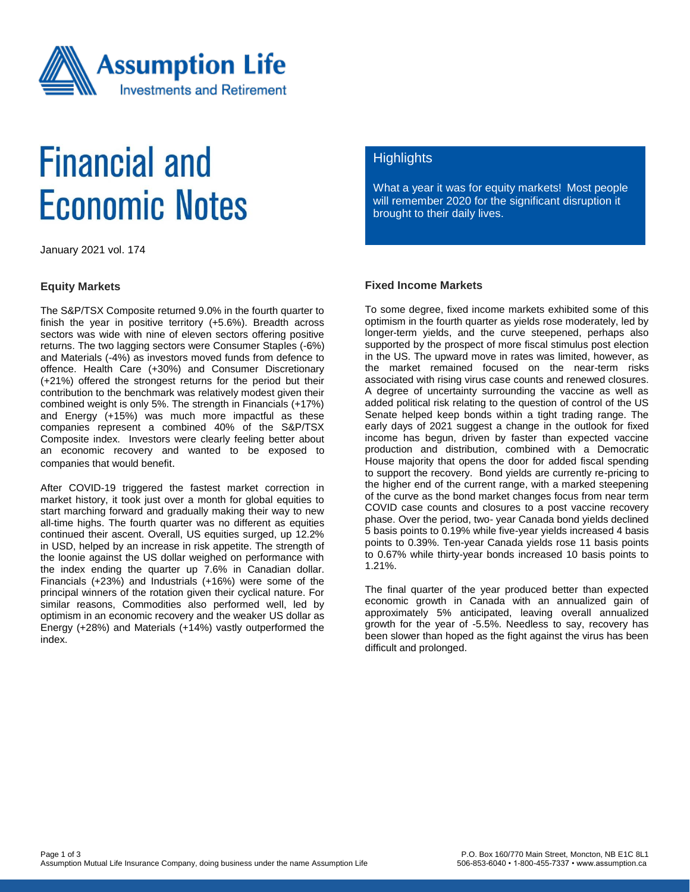

# **Financial and Economic Notes**

January 2021 vol. 174

#### **Equity Markets**

The S&P/TSX Composite returned 9.0% in the fourth quarter to finish the year in positive territory (+5.6%). Breadth across sectors was wide with nine of eleven sectors offering positive returns. The two lagging sectors were Consumer Staples (-6%) and Materials (-4%) as investors moved funds from defence to offence. Health Care (+30%) and Consumer Discretionary (+21%) offered the strongest returns for the period but their contribution to the benchmark was relatively modest given their combined weight is only 5%. The strength in Financials (+17%) and Energy (+15%) was much more impactful as these companies represent a combined 40% of the S&P/TSX Composite index. Investors were clearly feeling better about an economic recovery and wanted to be exposed to companies that would benefit.

After COVID-19 triggered the fastest market correction in market history, it took just over a month for global equities to start marching forward and gradually making their way to new all-time highs. The fourth quarter was no different as equities continued their ascent. Overall, US equities surged, up 12.2% in USD, helped by an increase in risk appetite. The strength of the loonie against the US dollar weighed on performance with the index ending the quarter up 7.6% in Canadian dollar. Financials (+23%) and Industrials (+16%) were some of the principal winners of the rotation given their cyclical nature. For similar reasons, Commodities also performed well, led by optimism in an economic recovery and the weaker US dollar as Energy (+28%) and Materials (+14%) vastly outperformed the index.

### **Highlights**

What a year it was for equity markets! Most people will remember 2020 for the significant disruption it brought to their daily lives.

### **Fixed Income Markets**

To some degree, fixed income markets exhibited some of this optimism in the fourth quarter as yields rose moderately, led by longer-term yields, and the curve steepened, perhaps also supported by the prospect of more fiscal stimulus post election in the US. The upward move in rates was limited, however, as the market remained focused on the near-term risks associated with rising virus case counts and renewed closures. A degree of uncertainty surrounding the vaccine as well as added political risk relating to the question of control of the US Senate helped keep bonds within a tight trading range. The early days of 2021 suggest a change in the outlook for fixed income has begun, driven by faster than expected vaccine production and distribution, combined with a Democratic House majority that opens the door for added fiscal spending to support the recovery. Bond yields are currently re-pricing to the higher end of the current range, with a marked steepening of the curve as the bond market changes focus from near term COVID case counts and closures to a post vaccine recovery phase. Over the period, two- year Canada bond yields declined 5 basis points to 0.19% while five-year yields increased 4 basis points to 0.39%. Ten-year Canada yields rose 11 basis points to 0.67% while thirty-year bonds increased 10 basis points to 1.21%.

The final quarter of the year produced better than expected economic growth in Canada with an annualized gain of approximately 5% anticipated, leaving overall annualized growth for the year of -5.5%. Needless to say, recovery has been slower than hoped as the fight against the virus has been difficult and prolonged.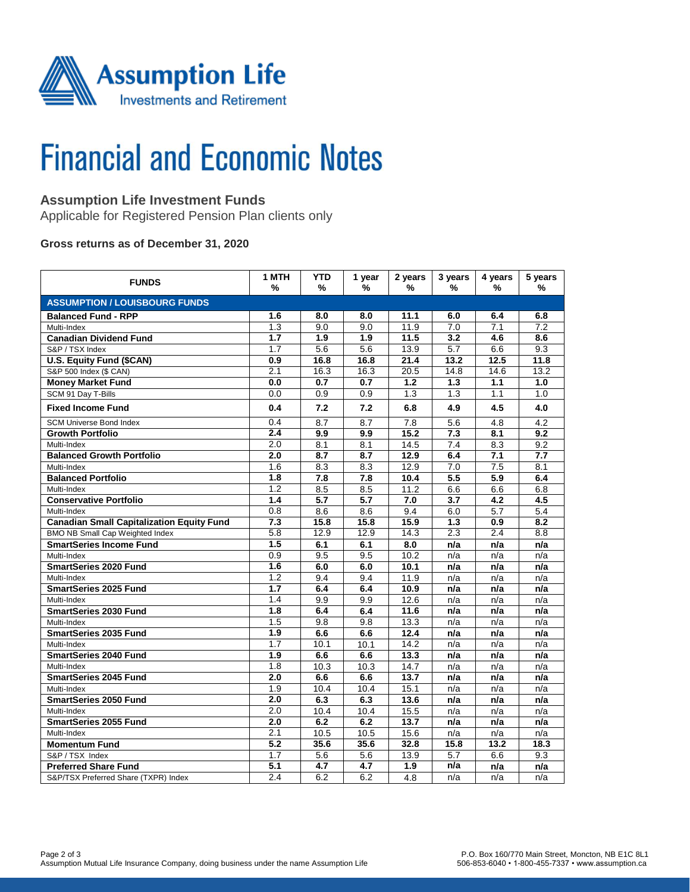

# **Financial and Economic Notes**

# **Assumption Life Investment Funds**

Applicable for Registered Pension Plan clients only

### **Gross returns as of December 31, 2020**

| <b>FUNDS</b>                                     | 1 MTH<br>%       | <b>YTD</b><br>%   | 1 year<br>% | 2 years<br>%     | 3 years<br>% | 4 years<br>%     | 5 years<br>%     |  |  |  |  |
|--------------------------------------------------|------------------|-------------------|-------------|------------------|--------------|------------------|------------------|--|--|--|--|
| <b>ASSUMPTION / LOUISBOURG FUNDS</b>             |                  |                   |             |                  |              |                  |                  |  |  |  |  |
| <b>Balanced Fund - RPP</b>                       | 1.6              | 8.0               | 8.0         | 11.1             | 6.0          | 6.4              | 6.8              |  |  |  |  |
| Multi-Index                                      | 1.3              | 9.0               | 9.0         | 11.9             | 7.0          | 7.1              | $\overline{7.2}$ |  |  |  |  |
| <b>Canadian Dividend Fund</b>                    | 1.7              | 1.9               | 1.9         | 11.5             | 3.2          | 4.6              | 8.6              |  |  |  |  |
| S&P / TSX Index                                  | 1.7              | 5.6               | 5.6         | 13.9             | 5.7          | 6.6              | 9.3              |  |  |  |  |
| U.S. Equity Fund (\$CAN)                         | 0.9              | 16.8              | 16.8        | 21.4             | 13.2         | 12.5             | 11.8             |  |  |  |  |
| S&P 500 Index (\$ CAN)                           | 2.1              | 16.3              | 16.3        | 20.5             | 14.8         | 14.6             | 13.2             |  |  |  |  |
| <b>Money Market Fund</b>                         | 0.0              | 0.7               | 0.7         | 1.2              | 1.3          | 1.1              | 1.0              |  |  |  |  |
| SCM 91 Day T-Bills                               | 0.0              | 0.9               | 0.9         | 1.3              | 1.3          | 1.1              | 1.0              |  |  |  |  |
| <b>Fixed Income Fund</b>                         | 0.4              | 7.2               | 7.2         | 6.8              | 4.9          | 4.5              | 4.0              |  |  |  |  |
| <b>SCM Universe Bond Index</b>                   | 0.4              | 8.7               | 8.7         | 7.8              | 5.6          | 4.8              | 4.2              |  |  |  |  |
| <b>Growth Portfolio</b>                          | 2.4              | 9.9               | 9.9         | 15.2             | 7.3          | 8.1              | 9.2              |  |  |  |  |
| Multi-Index                                      | 2.0              | 8.1               | 8.1         | 14.5             | 7.4          | 8.3              | 9.2              |  |  |  |  |
| <b>Balanced Growth Portfolio</b>                 | 2.0              | 8.7               | 8.7         | 12.9             | 6.4          | 7.1              | 7.7              |  |  |  |  |
| Multi-Index                                      | 1.6              | 8.3               | 8.3         | 12.9             | 7.0          | 7.5              | 8.1              |  |  |  |  |
| <b>Balanced Portfolio</b>                        | 1.8              | 7.8               | 7.8         | 10.4             | 5.5          | $\overline{5.9}$ | 6.4              |  |  |  |  |
| Multi-Index                                      | 1.2              | 8.5               | 8.5         | 11.2             | 6.6          | 6.6              | 6.8              |  |  |  |  |
| <b>Conservative Portfolio</b>                    | 1.4              | 5.7               | 5.7         | 7.0              | 3.7          | 4.2              | 4.5              |  |  |  |  |
| Multi-Index                                      | 0.8              | 8.6               | 8.6         | 9.4              | 6.0          | 5.7              | 5.4              |  |  |  |  |
| <b>Canadian Small Capitalization Equity Fund</b> | $\overline{7.3}$ | 15.8              | 15.8        | 15.9             | 1.3          | 0.9              | 8.2              |  |  |  |  |
| BMO NB Small Cap Weighted Index                  | $\overline{5.8}$ | 12.9              | 12.9        | 14.3             | 2.3          | 2.4              | 8.8              |  |  |  |  |
| <b>SmartSeries Income Fund</b>                   | 1.5              | 6.1               | 6.1         | 8.0              | n/a          | n/a              | n/a              |  |  |  |  |
| Multi-Index                                      | 0.9              | 9.5               | 9.5         | 10.2             | n/a          | n/a              | n/a              |  |  |  |  |
| <b>SmartSeries 2020 Fund</b>                     | 1.6              | 6.0               | 6.0         | 10.1             | n/a          | n/a              | n/a              |  |  |  |  |
| Multi-Index                                      | $\overline{1.2}$ | 9.4               | 9.4         | 11.9             | n/a          | n/a              | n/a              |  |  |  |  |
| <b>SmartSeries 2025 Fund</b>                     | 1.7              | 6.4               | 6.4         | 10.9             | n/a          | n/a              | n/a              |  |  |  |  |
| Multi-Index                                      | 1.4              | 9.9               | 9.9         | 12.6             | n/a          | n/a              | n/a              |  |  |  |  |
| <b>SmartSeries 2030 Fund</b>                     | 1.8              | 6.4               | 6.4         | 11.6             | n/a          | n/a              | n/a              |  |  |  |  |
| Multi-Index                                      | 1.5              | 9.8               | 9.8         | 13.3             | n/a          | n/a              | n/a              |  |  |  |  |
| <b>SmartSeries 2035 Fund</b>                     | 1.9              | 6.6               | 6.6         | 12.4             | n/a          | n/a              | n/a              |  |  |  |  |
| Multi-Index                                      | $\overline{1.7}$ | 10.1              | 10.1        | 14.2             | n/a          | n/a              | n/a              |  |  |  |  |
| <b>SmartSeries 2040 Fund</b>                     | $\overline{1.9}$ | 6.6               | 6.6         | 13.3             | n/a          | n/a              | n/a              |  |  |  |  |
| Multi-Index                                      | 1.8              | 10.3              | 10.3        | 14.7             | n/a          | n/a              | n/a              |  |  |  |  |
| <b>SmartSeries 2045 Fund</b>                     | 2.0              | 6.6               | 6.6         | 13.7             | n/a          | n/a              | n/a              |  |  |  |  |
| Multi-Index                                      | 1.9              | $\overline{10.4}$ | 10.4        | 15.1             | n/a          | n/a              | n/a              |  |  |  |  |
| <b>SmartSeries 2050 Fund</b>                     | 2.0              | 6.3               | 6.3         | 13.6             | n/a          | n/a              | n/a              |  |  |  |  |
| Multi-Index                                      | 2.0              | 10.4              | 10.4        | 15.5             | n/a          | n/a              | n/a              |  |  |  |  |
| <b>SmartSeries 2055 Fund</b>                     | 2.0              | 6.2               | 6.2         | 13.7             | n/a          | n/a              | n/a              |  |  |  |  |
| Multi-Index                                      | 2.1              | 10.5              | 10.5        | 15.6             | n/a          | n/a              | n/a              |  |  |  |  |
| <b>Momentum Fund</b>                             | 5.2              | 35.6              | 35.6        | 32.8             | 15.8         | 13.2             | 18.3             |  |  |  |  |
| S&P / TSX Index                                  | 1.7              | 5.6               | 5.6         | 13.9             | 5.7          | 6.6              | 9.3              |  |  |  |  |
| <b>Preferred Share Fund</b>                      | 5.1              | 4.7               | 4.7         | $\overline{1.9}$ | n/a          | n/a              | n/a              |  |  |  |  |
| S&P/TSX Preferred Share (TXPR) Index             | 2.4              | 6.2               | 6.2         | 4.8              | n/a          | n/a              | n/a              |  |  |  |  |